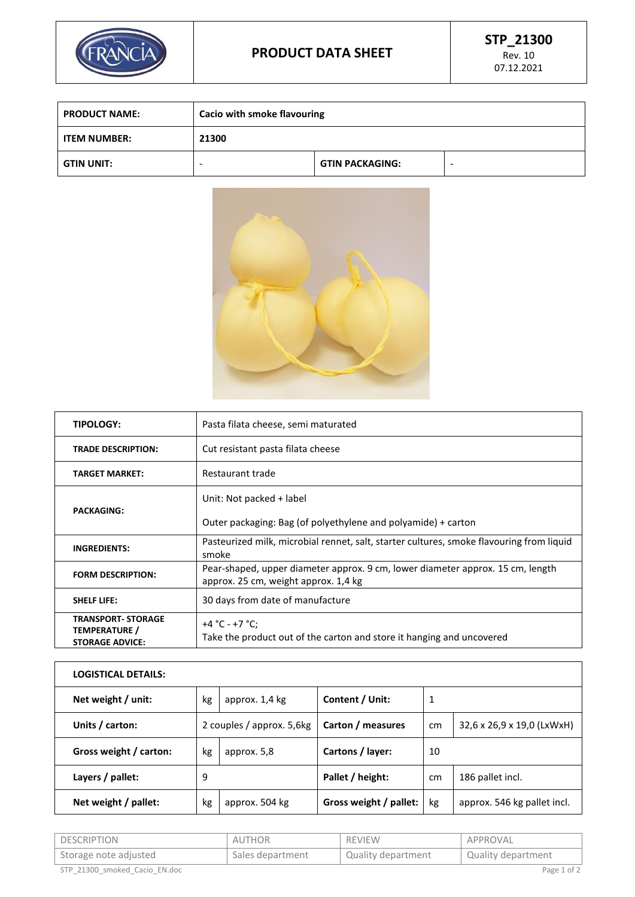

| <b>PRODUCT NAME:</b> | Cacio with smoke flavouring |                        |   |
|----------------------|-----------------------------|------------------------|---|
| <b>ITEM NUMBER:</b>  | 21300                       |                        |   |
| <b>GTIN UNIT:</b>    |                             | <b>GTIN PACKAGING:</b> | ۰ |



| <b>TIPOLOGY:</b>                                                     | Pasta filata cheese, semi maturated                                                                                    |  |  |
|----------------------------------------------------------------------|------------------------------------------------------------------------------------------------------------------------|--|--|
| <b>TRADE DESCRIPTION:</b>                                            | Cut resistant pasta filata cheese                                                                                      |  |  |
| <b>TARGET MARKET:</b>                                                | Restaurant trade                                                                                                       |  |  |
|                                                                      | Unit: Not packed + label                                                                                               |  |  |
| <b>PACKAGING:</b>                                                    | Outer packaging: Bag (of polyethylene and polyamide) + carton                                                          |  |  |
| <b>INGREDIENTS:</b>                                                  | Pasteurized milk, microbial rennet, salt, starter cultures, smoke flavouring from liquid<br>smoke                      |  |  |
| <b>FORM DESCRIPTION:</b>                                             | Pear-shaped, upper diameter approx. 9 cm, lower diameter approx. 15 cm, length<br>approx. 25 cm, weight approx. 1,4 kg |  |  |
| <b>SHELF LIFE:</b>                                                   | 30 days from date of manufacture                                                                                       |  |  |
| <b>TRANSPORT- STORAGE</b><br>TEMPERATURE /<br><b>STORAGE ADVICE:</b> | +4 °C - +7 °C;<br>Take the product out of the carton and store it hanging and uncovered                                |  |  |

| <b>LOGISTICAL DETAILS:</b> |    |                           |                        |    |                             |
|----------------------------|----|---------------------------|------------------------|----|-----------------------------|
| Net weight / unit:         | kg | approx. 1,4 kg            | Content / Unit:        | 1  |                             |
| Units / carton:            |    | 2 couples / approx. 5,6kg | Carton / measures      | cm | 32,6 x 26,9 x 19,0 (LxWxH)  |
| Gross weight / carton:     | kg | approx. 5,8               | Cartons / layer:       | 10 |                             |
| Layers / pallet:           | 9  |                           | Pallet / height:       | cm | 186 pallet incl.            |
| Net weight / pallet:       | kg | approx. 504 kg            | Gross weight / pallet: | kg | approx. 546 kg pallet incl. |

| DESCRIPTION                   | <b>AUTHOR</b>    | <b>REVIEW</b>      | APPROVAL           |
|-------------------------------|------------------|--------------------|--------------------|
| 'Storage note adjusted        | Sales department | Quality department | Quality department |
| STP 21300 smoked Cacio EN.doc |                  |                    | Page 1 of 2        |